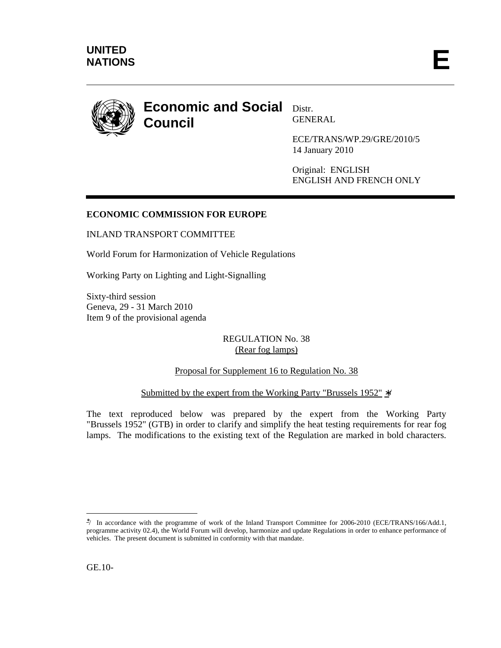

# **Economic and Social Distr. Council**

GENERAL

ECE/TRANS/WP.29/GRE/2010/5 14 January 2010

Original: ENGLISH ENGLISH AND FRENCH ONLY

## **ECONOMIC COMMISSION FOR EUROPE**

INLAND TRANSPORT COMMITTEE

World Forum for Harmonization of Vehicle Regulations

Working Party on Lighting and Light-Signalling

Sixty-third session Geneva, 29 - 31 March 2010 Item 9 of the provisional agenda

## REGULATION No. 38 (Rear fog lamps)

## Proposal for Supplement 16 to Regulation No. 38

## Submitted by the expert from the Working Party "Brussels 1952" ∗/

The text reproduced below was prepared by the expert from the Working Party "Brussels 1952" (GTB) in order to clarify and simplify the heat testing requirements for rear fog lamps. The modifications to the existing text of the Regulation are marked in bold characters.

 $\overline{a}$ 

<sup>∗</sup> / In accordance with the programme of work of the Inland Transport Committee for 2006-2010 (ECE/TRANS/166/Add.1, programme activity 02.4), the World Forum will develop, harmonize and update Regulations in order to enhance performance of vehicles. The present document is submitted in conformity with that mandate.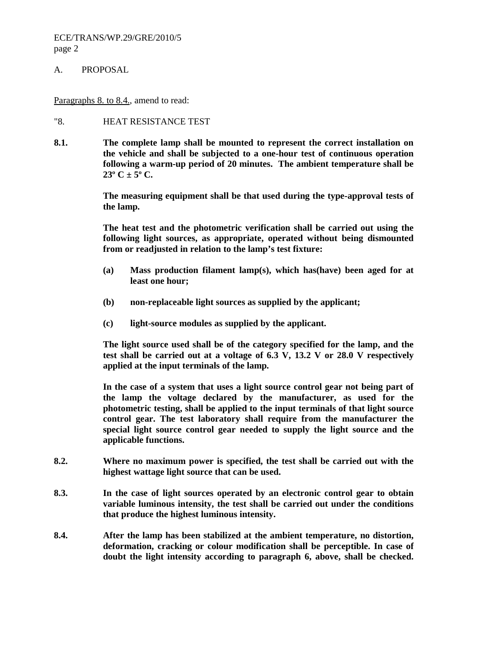#### ECE/TRANS/WP.29/GRE/2010/5 page 2

#### A. PROPOSAL

Paragraphs 8. to 8.4., amend to read:

#### "8. HEAT RESISTANCE TEST

**8.1. The complete lamp shall be mounted to represent the correct installation on the vehicle and shall be subjected to a one-hour test of continuous operation following a warm-up period of 20 minutes. The ambient temperature shall be**   $23^{\circ}$  C  $\pm$  5° C.

> **The measuring equipment shall be that used during the type-approval tests of the lamp.**

> **The heat test and the photometric verification shall be carried out using the following light sources, as appropriate, operated without being dismounted from or readjusted in relation to the lamp's test fixture:**

- **(a) Mass production filament lamp(s), which has(have) been aged for at least one hour;**
- **(b) non-replaceable light sources as supplied by the applicant;**
- **(c) light-source modules as supplied by the applicant.**

 **The light source used shall be of the category specified for the lamp, and the test shall be carried out at a voltage of 6.3 V, 13.2 V or 28.0 V respectively applied at the input terminals of the lamp.** 

 **In the case of a system that uses a light source control gear not being part of the lamp the voltage declared by the manufacturer, as used for the photometric testing, shall be applied to the input terminals of that light source control gear. The test laboratory shall require from the manufacturer the special light source control gear needed to supply the light source and the applicable functions.** 

- **8.2. Where no maximum power is specified, the test shall be carried out with the highest wattage light source that can be used.**
- **8.3. In the case of light sources operated by an electronic control gear to obtain variable luminous intensity, the test shall be carried out under the conditions that produce the highest luminous intensity.**
- **8.4. After the lamp has been stabilized at the ambient temperature, no distortion, deformation, cracking or colour modification shall be perceptible. In case of doubt the light intensity according to paragraph 6, above, shall be checked.**